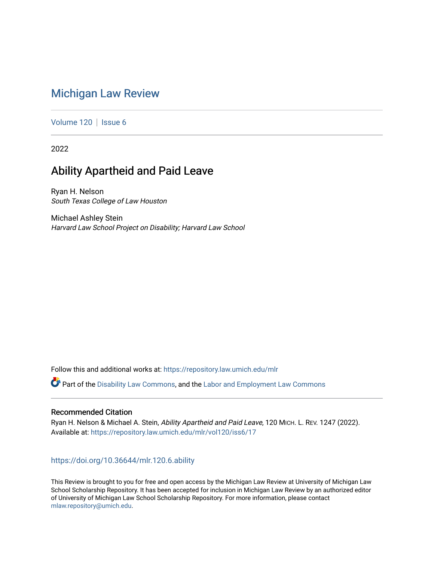# [Michigan Law Review](https://repository.law.umich.edu/mlr)

[Volume 120](https://repository.law.umich.edu/mlr/vol120) | [Issue 6](https://repository.law.umich.edu/mlr/vol120/iss6)

2022

# Ability Apartheid and Paid Leave

Ryan H. Nelson South Texas College of Law Houston

Michael Ashley Stein Harvard Law School Project on Disability; Harvard Law School

Follow this and additional works at: [https://repository.law.umich.edu/mlr](https://repository.law.umich.edu/mlr?utm_source=repository.law.umich.edu%2Fmlr%2Fvol120%2Fiss6%2F17&utm_medium=PDF&utm_campaign=PDFCoverPages) 

Part of the [Disability Law Commons](http://network.bepress.com/hgg/discipline/1074?utm_source=repository.law.umich.edu%2Fmlr%2Fvol120%2Fiss6%2F17&utm_medium=PDF&utm_campaign=PDFCoverPages), and the [Labor and Employment Law Commons](http://network.bepress.com/hgg/discipline/909?utm_source=repository.law.umich.edu%2Fmlr%2Fvol120%2Fiss6%2F17&utm_medium=PDF&utm_campaign=PDFCoverPages)

### Recommended Citation

Ryan H. Nelson & Michael A. Stein, Ability Apartheid and Paid Leave, 120 MICH. L. REV. 1247 (2022). Available at: [https://repository.law.umich.edu/mlr/vol120/iss6/17](https://repository.law.umich.edu/mlr/vol120/iss6/17?utm_source=repository.law.umich.edu%2Fmlr%2Fvol120%2Fiss6%2F17&utm_medium=PDF&utm_campaign=PDFCoverPages) 

## <https://doi.org/10.36644/mlr.120.6.ability>

This Review is brought to you for free and open access by the Michigan Law Review at University of Michigan Law School Scholarship Repository. It has been accepted for inclusion in Michigan Law Review by an authorized editor of University of Michigan Law School Scholarship Repository. For more information, please contact [mlaw.repository@umich.edu.](mailto:mlaw.repository@umich.edu)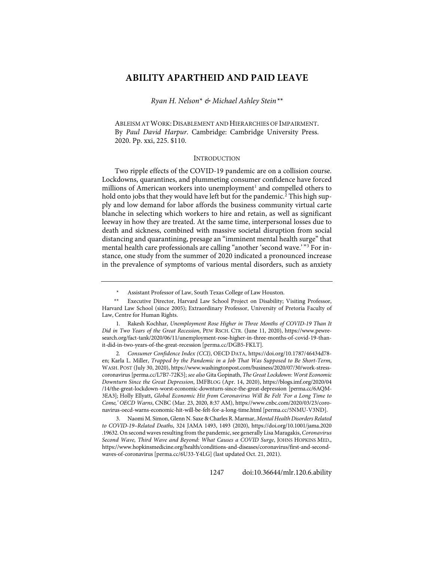## **ABILITY APARTHEID AND PAID LEAVE**

*Ryan H. Nelson*[\\*](#page-1-0) *& Michael Ashley Stein[\\*\\*](#page-1-1)*

ABLEISM AT WORK:DISABLEMENT AND HIERARCHIES OF IMPAIRMENT. By *Paul David Harpur*. Cambridge: Cambridge University Press. 2020. Pp. xxi, 225. \$110.

#### INTRODUCTION

Two ripple effects of the COVID-19 pandemic are on a collision course. Lockdowns, quarantines, and plummeting consumer confidence have forced millions of American workers into unemployment<sup>[1](#page-1-2)</sup> and compelled others to hold onto jobs that they would have left but for the pandemic.<sup>[2](#page-1-3)</sup> This high supply and low demand for labor affords the business community virtual carte blanche in selecting which workers to hire and retain, as well as significant leeway in how they are treated. At the same time, interpersonal losses due to death and sickness, combined with massive societal disruption from social distancing and quarantining, presage an "imminent mental health surge" that mental health care professionals are calling "another 'second wave.' "[3](#page-1-4) For instance, one study from the summer of 2020 indicated a pronounced increase in the prevalence of symptoms of various mental disorders, such as anxiety

Assistant Professor of Law, South Texas College of Law Houston.

<span id="page-1-1"></span><span id="page-1-0"></span><sup>\*\*</sup> Executive Director, Harvard Law School Project on Disability; Visiting Professor, Harvard Law School (since 2005); Extraordinary Professor, University of Pretoria Faculty of Law, Centre for Human Rights.

<span id="page-1-2"></span> <sup>1.</sup> Rakesh Kochhar, *Unemployment Rose Higher in Three Months of COVID-19 Than It Did in Two Years of the Great Recession*, PEW RSCH. CTR. (June 11, 2020), [https://www.pewre](https://www.pewresearch.org/fact-tank/2020/06/11/unemployment-rose-higher-in-three-months-of-covid-19-than-it-did-in-two-years-of-the-great-recession/)[search.org/fact-tank/2020/06/11/unemployment-rose-higher-in-three-months-of-covid-19-than](https://www.pewresearch.org/fact-tank/2020/06/11/unemployment-rose-higher-in-three-months-of-covid-19-than-it-did-in-two-years-of-the-great-recession/)[it-did-in-two-years-of-the-great-recession](https://www.pewresearch.org/fact-tank/2020/06/11/unemployment-rose-higher-in-three-months-of-covid-19-than-it-did-in-two-years-of-the-great-recession/) [\[perma.cc/DGB5-FKLT\]](https://perma.cc/DGB5-FKLT).

<span id="page-1-3"></span><sup>2</sup>*. Consumer Confidence Index (CCI)*, OECD DATA[, https://doi.org/10.1787/46434d78](https://doi.org/10.1787/46434d78-en) [en;](https://doi.org/10.1787/46434d78-en) Karla L. Miller, *Trapped by the Pandemic in a Job That Was Supposed to Be Short-Term*, WASH. POST (July 30, 2020)[, https://www.washingtonpost.com/business/2020/07/30/work-stress](https://www.washingtonpost.com/business/2020/07/30/work-stress-coronavirus)[coronavirus](https://www.washingtonpost.com/business/2020/07/30/work-stress-coronavirus) [\[perma.cc/L7B7-72K5\]](https://perma.cc/L7B7-72K5); *see also* Gita Gopinath, *The Great Lockdown: Worst Economic Downturn Since the Great Depression*, IMFBLOG (Apr. 14, 2020), [https://blogs.imf.org/2020/04](https://blogs.imf.org/2020/04%E2%80%8C/14/the-great-lockdown-worst-economic-downturn-since-the-great-depression) [/14/the-great-lockdown-worst-economic-downturn-since-the-great-depression](https://blogs.imf.org/2020/04%E2%80%8C/14/the-great-lockdown-worst-economic-downturn-since-the-great-depression) [\[perma.cc/6AQM-](https://perma.cc/6AQM-3EA3)[3EA3\]](https://perma.cc/6AQM-3EA3); Holly Ellyatt, *Global Economic Hit from Coronavirus Will Be Felt 'For a Long Time to Come,' OECD Warns*, CNBC (Mar. 23, 2020, 8:37 AM)[, https://www.cnbc.com/2020/03/23/coro](https://www.cnbc.com/2020/03/23/coronavirus-oecd-warns-economic-hit-will-be-felt-for-a-long-time.html)[navirus-oecd-warns-economic-hit-will-be-felt-for-a-long-time.html](https://www.cnbc.com/2020/03/23/coronavirus-oecd-warns-economic-hit-will-be-felt-for-a-long-time.html) [\[perma.cc/5NMU-V3ND\]](https://perma.cc/5NMU-V3ND).

<span id="page-1-4"></span> <sup>3.</sup> Naomi M. Simon, Glenn N. Saxe & Charles R. Marmar, *Mental Health Disorders Related to COVID-19–Related Deaths*, 324 JAMA 1493, 1493 (2020), [https://doi.org/10.1001/jama.2020](https://doi.org/10.1001/jama.2020.19632) [.19632.](https://doi.org/10.1001/jama.2020.19632) On second waves resulting from the pandemic, see generally Lisa Maragakis, *Coronavirus Second Wave, Third Wave and Beyond: What Causes a COVID Surge*, JOHNS HOPKINS MED., [https://www.hopkinsmedicine.org/health/conditions-and-diseases/coronavirus/first-and-second](https://www.hopkinsmedicine.org/health/conditions-and-diseases/coronavirus/first-and-second-waves-of-coronavirus)[waves-of-coronavirus](https://www.hopkinsmedicine.org/health/conditions-and-diseases/coronavirus/first-and-second-waves-of-coronavirus) [\[perma.cc/6U33-Y4LG\]](https://perma.cc/6U33-Y4LG) (last updated Oct. 21, 2021).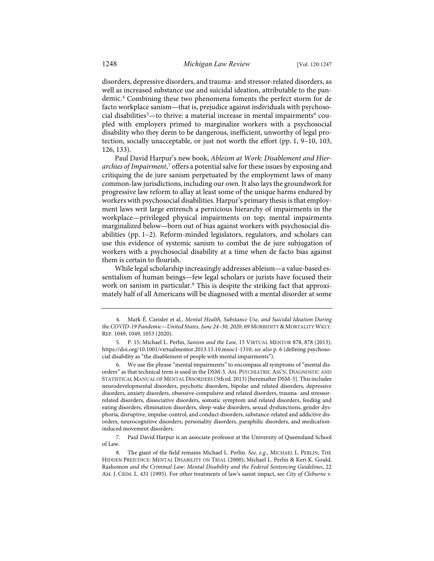<span id="page-2-5"></span>disorders, depressive disorders, and trauma- and stressor-related disorders, as well as increased substance use and suicidal ideation, attributable to the pandemic.[4](#page-2-0) Combining these two phenomena foments the perfect storm for de facto workplace sanism—that is, prejudice against individuals with psychoso-cial disabilities<sup>[5](#page-2-1)</sup>—to thrive: a material increase in mental impairments<sup>[6](#page-2-2)</sup> coupled with employers primed to marginalize workers with a psychosocial disability who they deem to be dangerous, inefficient, unworthy of legal protection, socially unacceptable, or just not worth the effort (pp. 1, 9–10, 103, 126, 133).

Paul David Harpur's new book, *Ableism at Work: Disablement and Hierarchies of Impairment*, [7](#page-2-3) offers a potential salve for these issues by exposing and critiquing the de jure sanism perpetuated by the employment laws of many common-law jurisdictions, including our own. It also lays the groundwork for progressive law reform to allay at least some of the unique harms endured by workers with psychosocial disabilities. Harpur's primary thesis is that employment laws writ large entrench a pernicious hierarchy of impairments in the workplace—privileged physical impairments on top; mental impairments marginalized below—born out of bias against workers with psychosocial disabilities (pp. 1–2). Reform-minded legislators, regulators, and scholars can use this evidence of systemic sanism to combat the de jure subjugation of workers with a psychosocial disability at a time when de facto bias against them is certain to flourish.

While legal scholarship increasingly addresses ableism—a value-based essentialism of human beings—few legal scholars or jurists have focused their work on sanism in particular.<sup>[8](#page-2-4)</sup> This is despite the striking fact that approximately half of all Americans will be diagnosed with a mental disorder at some

<span id="page-2-0"></span> <sup>4.</sup> Mark É. Czeisler et al., *Mental Health, Substance Use, and Suicidal Ideation During*  the COVID-19 Pandemic—United States, June 24-30, 2020, 69 MORBIDITY & MORTALITY WKLY. REP. 1049, 1049, 1053 (2020).

<span id="page-2-1"></span> <sup>5.</sup> P. 15; Michael L. Perlin, *Sanism and the Law*, 15 VIRTUAL MENTOR 878, 878 (2013), [https://doi.org/10.1001/virtualmentor.2013.15.10.msoc1-1310;](https://doi.org/10.1001/virtualmentor.2013.15.10.msoc1-1310) *see also* p. 6 (defining psychosocial disability as "the disablement of people with mental impairments").

<span id="page-2-2"></span> <sup>6.</sup> We use the phrase "mental impairments" to encompass all symptoms of "mental disorders" as that technical term is used in the DSM-5. AM. PSYCHIATRIC ASS'N, DIAGNOSTIC AND STATISTICAL MANUAL OF MENTAL DISORDERS (5th ed. 2013) [hereinafter DSM-5]. This includes neurodevelopmental disorders, psychotic disorders, bipolar and related disorders, depressive disorders, anxiety disorders, obsessive-compulsive and related disorders, trauma- and stressorrelated disorders, dissociative disorders, somatic symptom and related disorders, feeding and eating disorders, elimination disorders, sleep-wake disorders, sexual dysfunctions, gender dysphoria, disruptive, impulse-control, and conduct disorders, substance-related and addictive disorders, neurocognitive disorders, personality disorders, paraphilic disorders, and medicationinduced movement disorders.

<span id="page-2-3"></span> <sup>7.</sup> Paul David Harpur is an associate professor at the University of Queensland School of Law.

<span id="page-2-4"></span> <sup>8.</sup> The giant of the field remains Michael L. Perlin. *See, e.g.*, MICHAEL L. PERLIN, THE HIDDEN PREJUDICE: MENTAL DISABILITY ON TRIAL (2000); Michael L. Perlin & Keri K. Gould, Rashomon *and the Criminal Law: Mental Disability and the Federal Sentencing Guidelines*, 22 AM. J. CRIM. L. 431 (1995). For other treatments of law's sanist impact, see *City of Cleburne v.*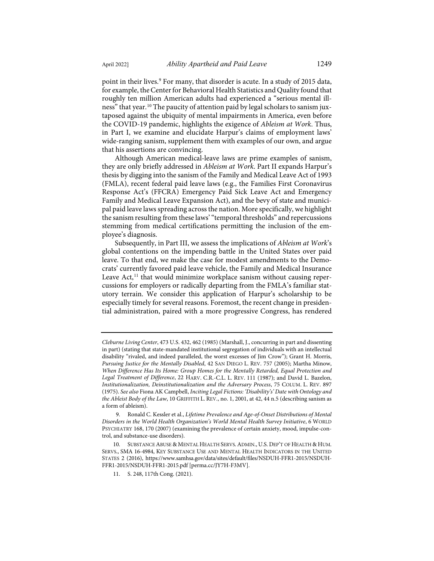point in their lives.<sup>[9](#page-3-0)</sup> For many, that disorder is acute. In a study of 2015 data, for example, the Center for Behavioral Health Statistics and Quality found that roughly ten million American adults had experienced a "serious mental illness" that year.[10](#page-3-1) The paucity of attention paid by legal scholars to sanism juxtaposed against the ubiquity of mental impairments in America, even before the COVID-19 pandemic, highlights the exigence of *Ableism at Work*. Thus, in Part I, we examine and elucidate Harpur's claims of employment laws' wide-ranging sanism, supplement them with examples of our own, and argue that his assertions are convincing.

Although American medical-leave laws are prime examples of sanism, they are only briefly addressed in *Ableism at Work*. Part II expands Harpur's thesis by digging into the sanism of the Family and Medical Leave Act of 1993 (FMLA), recent federal paid leave laws (e.g., the Families First Coronavirus Response Act's (FFCRA) Emergency Paid Sick Leave Act and Emergency Family and Medical Leave Expansion Act), and the bevy of state and municipal paid leave laws spreading across the nation. More specifically, we highlight the sanism resulting from these laws' "temporal thresholds" and repercussions stemming from medical certifications permitting the inclusion of the employee's diagnosis.

Subsequently, in Part III, we assess the implications of *Ableism at Work*'s global contentions on the impending battle in the United States over paid leave. To that end, we make the case for modest amendments to the Democrats' currently favored paid leave vehicle, the Family and Medical Insurance Leave Act,<sup>[11](#page-3-2)</sup> that would minimize workplace sanism without causing repercussions for employers or radically departing from the FMLA's familiar statutory terrain. We consider this application of Harpur's scholarship to be especially timely for several reasons. Foremost, the recent change in presidential administration, paired with a more progressive Congress, has rendered

*Cleburne Living Center*, 473 U.S. 432, 462 (1985) (Marshall, J., concurring in part and dissenting in part) (stating that state-mandated institutional segregation of individuals with an intellectual disability "rivaled, and indeed paralleled, the worst excesses of Jim Crow"); Grant H. Morris, *Pursuing Justice for the Mentally Disabled*, 42 SAN DIEGO L. REV. 757 (2005); Martha Minow, *When Difference Has Its Home: Group Homes for the Mentally Retarded, Equal Protection and Legal Treatment of Difference*, 22 HARV. C.R.-C.L. L. REV. 111 (1987); and David L. Bazelon, *Institutionalization, Deinstitutionalization and the Adversary Process*, 75 COLUM. L. REV. 897 (1975). *See also* Fiona AK Campbell, *Inciting Legal Fictions: 'Disability's' Date with Ontology and the Ableist Body of the Law*, 10 GRIFFITH L. REV., no. 1, 2001, at 42, 44 n.5 (describing sanism as a form of ableism).

<span id="page-3-0"></span> <sup>9.</sup> Ronald C. Kessler et al., *Lifetime Prevalence and Age-of-Onset Distributions of Mental Disorders in the World Health Organization's World Mental Health Survey Initiative*, 6 WORLD PSYCHIATRY 168, 170 (2007) (examining the prevalence of certain anxiety, mood, impulse-control, and substance-use disorders).

<span id="page-3-2"></span><span id="page-3-1"></span><sup>10.</sup> SUBSTANCE ABUSE & MENTAL HEALTH SERVS.ADMIN., U.S. DEP'T OF HEALTH & HUM. SERVS., SMA 16-4984, KEY SUBSTANCE USE AND MENTAL HEALTH INDICATORS IN THE UNITED STATES 2 (2016), [https://www.samhsa.gov/data/sites/default/files/NSDUH-FFR1-2015/NSDUH-](https://www.samhsa.gov/data/sites/default/files/NSDUH-FFR1-2015/NSDUH-FFR1-2015/NSDUH-FFR1-2015.pdf)[FFR1-2015/NSDUH-FFR1-2015.pdf](https://www.samhsa.gov/data/sites/default/files/NSDUH-FFR1-2015/NSDUH-FFR1-2015/NSDUH-FFR1-2015.pdf) [\[perma.cc/JY7H-F3MV\]](https://perma.cc/JY7H-F3MV).

<sup>11.</sup> S. 248, 117th Cong. (2021).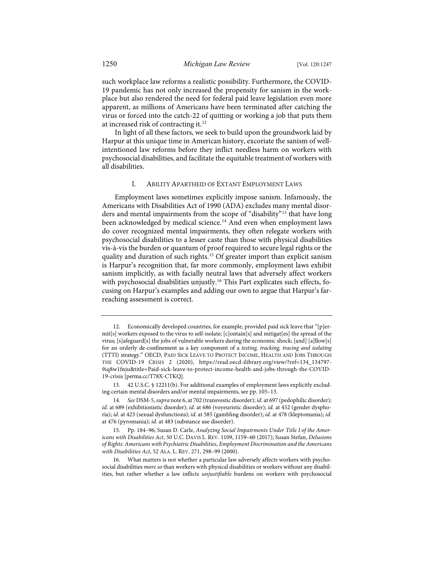such workplace law reforms a realistic possibility. Furthermore, the COVID-19 pandemic has not only increased the propensity for sanism in the workplace but also rendered the need for federal paid leave legislation even more apparent, as millions of Americans have been terminated after catching the virus or forced into the catch-22 of quitting or working a job that puts them at increased risk of contracting it.[12](#page-4-0)

In light of all these factors, we seek to build upon the groundwork laid by Harpur at this unique time in American history, excoriate the sanism of wellintentioned law reforms before they inflict needless harm on workers with psychosocial disabilities, and facilitate the equitable treatment of workers with all disabilities.

#### I. ABILITY APARTHEID OF EXTANT EMPLOYMENT LAWS

Employment laws sometimes explicitly impose sanism. Infamously, the Americans with Disabilities Act of 1990 (ADA) excludes many mental disor-ders and mental impairments from the scope of "disability"<sup>[13](#page-4-1)</sup> that have long been acknowledged by medical science.<sup>[14](#page-4-2)</sup> And even when employment laws do cover recognized mental impairments, they often relegate workers with psychosocial disabilities to a lesser caste than those with physical disabilities vis-à-vis the burden or quantum of proof required to secure legal rights or the quality and duration of such rights.[15](#page-4-3) Of greater import than explicit sanism is Harpur's recognition that, far more commonly, employment laws exhibit sanism implicitly, as with facially neutral laws that adversely affect workers with psychosocial disabilities unjustly.<sup>16</sup> This Part explicates such effects, focusing on Harpur's examples and adding our own to argue that Harpur's farreaching assessment is correct.

<span id="page-4-0"></span><sup>12.</sup> Economically developed countries, for example, provided paid sick leave that "[p]ermit[s] workers exposed to the virus to self-isolate; [c]ontain[s] and mitigat[es] the spread of the virus; [s]afeguard[s] the jobs of vulnerable workers during the economic shock; [and] [a]llow[s] for an orderly de-confinement as a key component of a *testing, tracking, tracing and isolating* (TTTI) strategy." OECD, PAID SICK LEAVE TO PROTECT INCOME, HEALTH AND JOBS THROUGH THE COVID-19 CRISIS 2 (2020), [https://read.oecd-ilibrary.org/view/?ref=134\\_134797-](https://read.oecd-ilibrary.org/view/?ref=134_134797-9iq8w1fnju&title=Paid-sick-leave-to-protect-income-health-and-jobs-through-the-COVID-19-crisis) [9iq8w1fnju&title=Paid-sick-leave-to-protect-income-health-and-jobs-through-the-COVID-](https://read.oecd-ilibrary.org/view/?ref=134_134797-9iq8w1fnju&title=Paid-sick-leave-to-protect-income-health-and-jobs-through-the-COVID-19-crisis)[19-crisis](https://read.oecd-ilibrary.org/view/?ref=134_134797-9iq8w1fnju&title=Paid-sick-leave-to-protect-income-health-and-jobs-through-the-COVID-19-crisis) [\[perma.cc/T78X-CTKQ\].](https://perma.cc/T78X-CTKQ)

<span id="page-4-1"></span><sup>13. 42</sup> U.S.C. § 12211(b). For additional examples of employment laws explicitly excluding certain mental disorders and/or mental impairments, see pp. 105–13.

<span id="page-4-2"></span><sup>14</sup>*. See* DSM-5, *supra* not[e 6,](#page-2-5) at 702 (transvestic disorder); *id.* at 697 (pedophilic disorder); *id.* at 689 (exhibitionistic disorder); *id.* at 686 (voyeuristic disorder); *id.* at 452 (gender dysphoria); *id.* at 423 (sexual dysfunctions); *id.* at 585 (gambling disorder); *id.* at 478 (kleptomania); *id.* at 476 (pyromania); *id.* at 483 (substance use disorder).

<span id="page-4-3"></span><sup>15.</sup> Pp. 184–96; Susan D. Carle, *Analyzing Social Impairments Under Title I of the Americans with Disabilities Act*, 50 U.C. DAVIS L. REV. 1109, 1159–60 (2017); Susan Stefan, *Delusions of Rights: Americans with Psychiatric Disabilities, Employment Discrimination and the Americans with Disabilities Act*, 52 ALA. L. REV. 271, 298–99 (2000).

<span id="page-4-4"></span><sup>16.</sup> What matters is not whether a particular law adversely affects workers with psychosocial disabilities *more so* than workers with physical disabilities or workers without any disabilities, but rather whether a law inflicts *unjustifiable* burdens on workers with psychosocial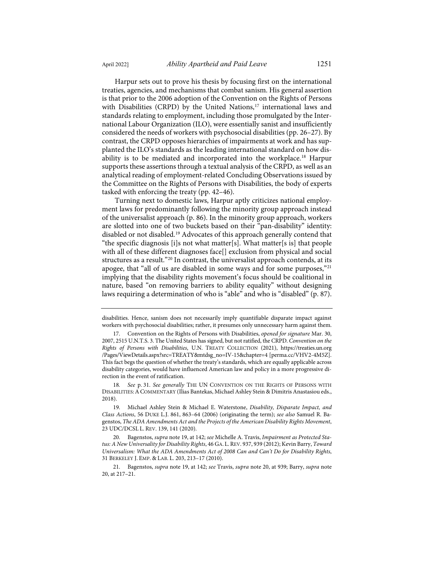Harpur sets out to prove his thesis by focusing first on the international treaties, agencies, and mechanisms that combat sanism. His general assertion is that prior to the 2006 adoption of the Convention on the Rights of Persons with Disabilities (CRPD) by the United Nations,<sup>[17](#page-5-2)</sup> international laws and standards relating to employment, including those promulgated by the International Labour Organization (ILO), were essentially sanist and insufficiently considered the needs of workers with psychosocial disabilities (pp. 26–27). By contrast, the CRPD opposes hierarchies of impairments at work and has supplanted the ILO's standards as the leading international standard on how dis-

ability is to be mediated and incorporated into the workplace[.18](#page-5-3) Harpur supports these assertions through a textual analysis of the CRPD, as well as an analytical reading of employment-related Concluding Observations issued by the Committee on the Rights of Persons with Disabilities, the body of experts tasked with enforcing the treaty (pp. 42–46).

<span id="page-5-1"></span><span id="page-5-0"></span>Turning next to domestic laws, Harpur aptly criticizes national employment laws for predominantly following the minority group approach instead of the universalist approach (p. 86). In the minority group approach, workers are slotted into one of two buckets based on their "pan-disability" identity: disabled or not disabled.[19](#page-5-4) Advocates of this approach generally contend that "the specific diagnosis [i]s not what matter[s]. What matter[s is] that people with all of these different diagnoses face[] exclusion from physical and social structures as a result."<sup>[20](#page-5-5)</sup> In contrast, the universalist approach contends, at its apogee, that "all of us are disabled in some ways and for some purposes,"<sup>[21](#page-5-6)</sup> implying that the disability rights movement's focus should be coalitional in nature, based "on removing barriers to ability equality" without designing laws requiring a determination of who is "able" and who is "disabled" (p. 87).

disabilities. Hence, sanism does not necessarily imply quantifiable disparate impact against workers with psychosocial disabilities; rather, it presumes only unnecessary harm against them.

<span id="page-5-2"></span><sup>17.</sup> Convention on the Rights of Persons with Disabilities, *opened for signature* Mar. 30, 2007, 2515 U.N.T.S. 3. The United States has signed, but not ratified, the CRPD. *Convention on the Rights of Persons with Disabilities*, U.N. TREATY COLLECTION (2021), [https://treaties.un.org](https://treaties.un.org/Pages/ViewDetails.aspx?src=TREATY&mtdsg_no=IV-15&chapter=4) [/Pages/ViewDetails.aspx?src=TREATY&mtdsg\\_no=IV-15&chapter=4](https://treaties.un.org/Pages/ViewDetails.aspx?src=TREATY&mtdsg_no=IV-15&chapter=4) [\[perma.cc/VHV2-4M5Z\]](https://perma.cc/VHV2-4M5Z). This fact begs the question of whether the treaty's standards, which are equally applicable across disability categories, would have influenced American law and policy in a more progressive direction in the event of ratification.

<span id="page-5-3"></span><sup>18</sup>*. See* p. 31. *See generally* THE UN CONVENTION ON THE RIGHTS OF PERSONS WITH DISABILITIES:ACOMMENTARY (Ilias Bantekas, Michael Ashley Stein & Dimitris Anastasiou eds., 2018).

<span id="page-5-4"></span><sup>19.</sup> Michael Ashley Stein & Michael E. Waterstone, *Disability, Disparate Impact, and Class Actions*, 56 DUKE L.J. 861, 863–64 (2006) (originating the term); *see also* Samuel R. Bagenstos, *The ADA Amendments Act and the Projects of the American Disability Rights Movement*, 23 UDC/DCSL L. REV. 139, 141 (2020).

<span id="page-5-5"></span><sup>20.</sup> Bagenstos, *supra* not[e 19,](#page-5-0) at 142; *see* Michelle A. Travis, *Impairment as Protected Status: A New Universality for Disability Rights*, 46 GA. L.REV. 937, 939 (2012); Kevin Barry, *Toward Universalism: What the ADA Amendments Act of 2008 Can and Can't Do for Disability Rights*, 31 BERKELEY J. EMP. & LAB. L. 203, 213–17 (2010).

<span id="page-5-6"></span><sup>21.</sup> Bagenstos, *supra* note [19,](#page-5-0) at 142; *see* Travis, *supra* note [20,](#page-5-1) at 939; Barry, *supra* note [20,](#page-5-1) at 217–21.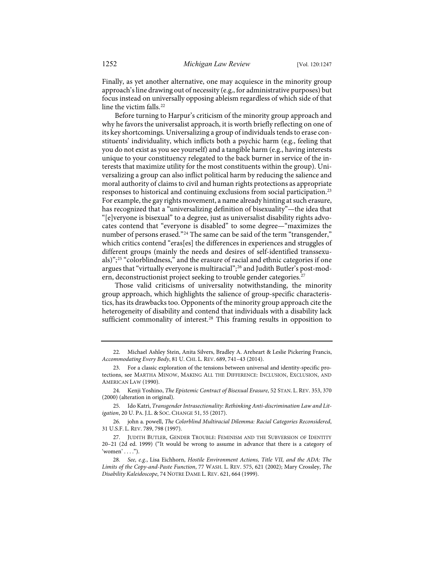Finally, as yet another alternative, one may acquiesce in the minority group approach's line drawing out of necessity (e.g., for administrative purposes) but focus instead on universally opposing ableism regardless of which side of that line the victim falls.<sup>[22](#page-6-0)</sup>

Before turning to Harpur's criticism of the minority group approach and why he favors the universalist approach, it is worth briefly reflecting on one of its key shortcomings. Universalizing a group of individuals tends to erase constituents' individuality, which inflicts both a psychic harm (e.g., feeling that you do not exist as you see yourself) and a tangible harm (e.g., having interests unique to your constituency relegated to the back burner in service of the interests that maximize utility for the most constituents within the group). Universalizing a group can also inflict political harm by reducing the salience and moral authority of claims to civil and human rights protections as appropriate responses to historical and continuing exclusions from social participation.[23](#page-6-1) For example, the gay rights movement, a name already hinting at such erasure, has recognized that a "universalizing definition of bisexuality"—the idea that "[e]veryone is bisexual" to a degree, just as universalist disability rights advocates contend that "everyone is disabled" to some degree—"maximizes the number of persons erased."<sup>[24](#page-6-2)</sup> The same can be said of the term "transgender," which critics contend "eras[es] the differences in experiences and struggles of different groups (mainly the needs and desires of self-identified transsexuals)";[25](#page-6-3) "colorblindness," and the erasure of racial and ethnic categories if one argues that "virtually everyone is multiracial";<sup>[26](#page-6-4)</sup> and Judith Butler's post-mod-ern, deconstructionist project seeking to trouble gender categories.<sup>[27](#page-6-5)</sup>

Those valid criticisms of universality notwithstanding, the minority group approach, which highlights the salience of group-specific characteristics, has its drawbacks too. Opponents of the minority group approach cite the heterogeneity of disability and contend that individuals with a disability lack sufficient commonality of interest.<sup>[28](#page-6-6)</sup> This framing results in opposition to

<span id="page-6-0"></span><sup>22.</sup> Michael Ashley Stein, Anita Silvers, Bradley A. Areheart & Leslie Pickering Francis, *Accommodating Every Body*, 81 U. CHI. L. REV. 689, 741–43 (2014).

<span id="page-6-1"></span><sup>23.</sup> For a classic exploration of the tensions between universal and identity-specific protections, see MARTHA MINOW, MAKING ALL THE DIFFERENCE: INCLUSION, EXCLUSION, AND AMERICAN LAW (1990).

<span id="page-6-2"></span><sup>24.</sup> Kenji Yoshino, *The Epistemic Contract of Bisexual Erasure*, 52 STAN. L. REV. 353, 370 (2000) (alteration in original).

<span id="page-6-3"></span><sup>25.</sup> Ido Katri, *Transgender Intrasectionality: Rethinking Anti-discrimination Law and Litigation*, 20 U. PA. J.L. & SOC. CHANGE 51, 55 (2017).

<span id="page-6-4"></span><sup>26.</sup> john a. powell, *The Colorblind Multiracial Dilemma: Racial Categories Reconsidered*, 31 U.S.F. L. REV. 789, 798 (1997).

<span id="page-6-5"></span><sup>27.</sup> JUDITH BUTLER, GENDER TROUBLE: FEMINISM AND THE SUBVERSION OF IDENTITY 20–21 (2d ed. 1999) ("It would be wrong to assume in advance that there is a category of 'women'  $\dots$ ").

<span id="page-6-6"></span><sup>28</sup>*. See, e.g.*, Lisa Eichhorn, *Hostile Environment Actions, Title VII, and the ADA: The Limits of the Copy-and-Paste Function*, 77 WASH. L. REV. 575, 621 (2002); Mary Crossley, *The Disability Kaleidoscope*, 74 NOTRE DAME L. REV. 621, 664 (1999).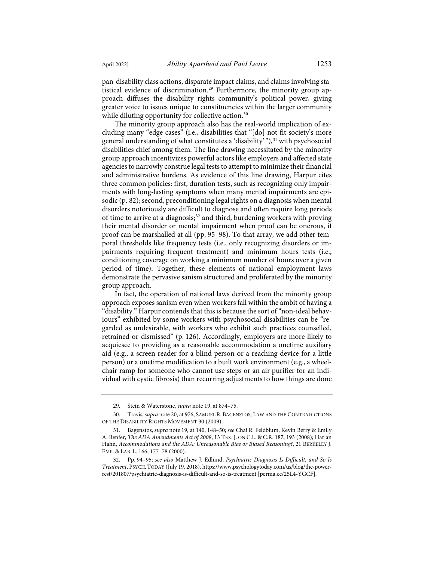pan-disability class actions, disparate impact claims, and claims involving statistical evidence of discrimination.<sup>29</sup> Furthermore, the minority group approach diffuses the disability rights community's political power, giving greater voice to issues unique to constituencies within the larger community while diluting opportunity for collective action.<sup>[30](#page-7-1)</sup>

The minority group approach also has the real-world implication of excluding many "edge cases" (i.e., disabilities that "[do] not fit society's more general understanding of what constitutes a 'disability'"),<sup>[31](#page-7-2)</sup> with psychosocial disabilities chief among them. The line drawing necessitated by the minority group approach incentivizes powerful actors like employers and affected state agencies to narrowly construe legal tests to attempt to minimize their financial and administrative burdens. As evidence of this line drawing, Harpur cites three common policies: first, duration tests, such as recognizing only impairments with long-lasting symptoms when many mental impairments are episodic (p. 82); second, preconditioning legal rights on a diagnosis when mental disorders notoriously are difficult to diagnose and often require long periods of time to arrive at a diagnosis; [32](#page-7-3) and third, burdening workers with proving their mental disorder or mental impairment when proof can be onerous, if proof can be marshalled at all (pp. 95–98). To that array, we add other temporal thresholds like frequency tests (i.e., only recognizing disorders or impairments requiring frequent treatment) and minimum hours tests (i.e., conditioning coverage on working a minimum number of hours over a given period of time). Together, these elements of national employment laws demonstrate the pervasive sanism structured and proliferated by the minority group approach.

<span id="page-7-4"></span>In fact, the operation of national laws derived from the minority group approach exposes sanism even when workers fall within the ambit of having a "disability." Harpur contends that this is because the sort of "non-ideal behaviours" exhibited by some workers with psychosocial disabilities can be "regarded as undesirable, with workers who exhibit such practices counselled, retrained or dismissed" (p. 126). Accordingly, employers are more likely to acquiesce to providing as a reasonable accommodation a onetime auxiliary aid (e.g., a screen reader for a blind person or a reaching device for a little person) or a onetime modification to a built work environment (e.g., a wheelchair ramp for someone who cannot use steps or an air purifier for an individual with cystic fibrosis) than recurring adjustments to how things are done

<sup>29.</sup> Stein & Waterstone, *supra* not[e 19,](#page-5-0) at 874–75.

<span id="page-7-1"></span><span id="page-7-0"></span><sup>30.</sup> Travis, *supra* not[e 20,](#page-5-1) at 976; SAMUEL R. BAGENSTOS, LAW AND THE CONTRADICTIONS OF THE DISABILITY RIGHTS MOVEMENT 30 (2009).

<span id="page-7-2"></span><sup>31.</sup> Bagenstos, *supra* not[e 19,](#page-5-0) at 140, 148–50; *see* Chai R. Feldblum, Kevin Berry & Emily A. Benfer, *The ADA Amendments Act of 2008*, 13 TEX. J. ON C.L. & C.R. 187, 193 (2008); Harlan Hahn, *Accommodations and the ADA: Unreasonable Bias or Biased Reasoning?*, 21 BERKELEY J. EMP. & LAB. L. 166, 177–78 (2000).

<span id="page-7-3"></span><sup>32.</sup> Pp. 94–95; *see also* Matthew J. Edlund, *Psychiatric Diagnosis Is Difficult, and So Is Treatment*, PSYCH.TODAY (July 19, 2018)[, https://www.psychologytoday.com/us/blog/the-power](https://www.psychologytoday.com/us/blog/the-power-rest/201807/psychiatric-diagnosis-is-difficult-and-so-is-treatment)[rest/201807/psychiatric-diagnosis-is-difficult-and-so-is-treatment](https://www.psychologytoday.com/us/blog/the-power-rest/201807/psychiatric-diagnosis-is-difficult-and-so-is-treatment) [\[perma.cc/25L4-YGCF\]](https://perma.cc/25L4-YGCF).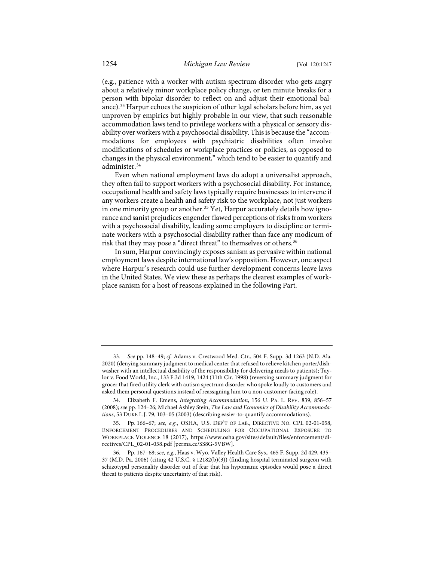(e.g., patience with a worker with autism spectrum disorder who gets angry about a relatively minor workplace policy change, or ten minute breaks for a person with bipolar disorder to reflect on and adjust their emotional balance).[33](#page-8-0) Harpur echoes the suspicion of other legal scholars before him, as yet unproven by empirics but highly probable in our view, that such reasonable accommodation laws tend to privilege workers with a physical or sensory disability over workers with a psychosocial disability. This is because the "accommodations for employees with psychiatric disabilities often involve modifications of schedules or workplace practices or policies, as opposed to changes in the physical environment," which tend to be easier to quantify and administer.<sup>34</sup>

Even when national employment laws do adopt a universalist approach, they often fail to support workers with a psychosocial disability. For instance, occupational health and safety laws typically require businesses to intervene if any workers create a health and safety risk to the workplace, not just workers in one minority group or another.<sup>[35](#page-8-2)</sup> Yet, Harpur accurately details how ignorance and sanist prejudices engender flawed perceptions of risks from workers with a psychosocial disability, leading some employers to discipline or terminate workers with a psychosocial disability rather than face any modicum of risk that they may pose a "direct threat" to themselves or others.<sup>36</sup>

In sum, Harpur convincingly exposes sanism as pervasive within national employment laws despite international law's opposition. However, one aspect where Harpur's research could use further development concerns leave laws in the United States. We view these as perhaps the clearest examples of workplace sanism for a host of reasons explained in the following Part.

<span id="page-8-0"></span><sup>33</sup>*. See* pp. 148–49; *cf.* Adams v. Crestwood Med. Ctr., 504 F. Supp. 3d 1263 (N.D. Ala. 2020) (denying summary judgment to medical center that refused to relieve kitchen porter/dishwasher with an intellectual disability of the responsibility for delivering meals to patients); Taylor v. Food World, Inc., 133 F.3d 1419, 1424 (11th Cir. 1998) (reversing summary judgment for grocer that fired utility clerk with autism spectrum disorder who spoke loudly to customers and asked them personal questions instead of reassigning him to a non-customer-facing role).

<span id="page-8-1"></span><sup>34.</sup> Elizabeth F. Emens, *Integrating Accommodation*, 156 U. PA. L. REV. 839, 856–57 (2008); *see* pp. 124–26; Michael Ashley Stein, *The Law and Economics of Disability Accommodations*, 53 DUKE L.J. 79, 103–05 (2003) (describing easier-to-quantify accommodations).

<span id="page-8-2"></span><sup>35.</sup> Pp. 166–67; *see, e.g.*, OSHA, U.S. DEP'T OF LAB., DIRECTIVE NO. CPL 02-01-058, ENFORCEMENT PROCEDURES AND SCHEDULING FOR OCCUPATIONAL EXPOSURE TO WORKPLACE VIOLENCE 18 (2017), [https://www.osha.gov/sites/default/files/enforcement/di](https://www.osha.gov/sites/default/files/enforcement/directives/CPL_02-01-058.pdf)[rectives/CPL\\_02-01-058.pdf](https://www.osha.gov/sites/default/files/enforcement/directives/CPL_02-01-058.pdf) [\[perma.cc/SS8G-5VBW\]](https://perma.cc/SS8G-5VBW).

<span id="page-8-3"></span><sup>36.</sup> Pp. 167–68; *see, e.g.*, Haas v. Wyo. Valley Health Care Sys., 465 F. Supp. 2d 429, 435– 37 (M.D. Pa. 2006) (citing 42 U.S.C. § 12182(b)(3)) (finding hospital terminated surgeon with schizotypal personality disorder out of fear that his hypomanic episodes would pose a direct threat to patients despite uncertainty of that risk).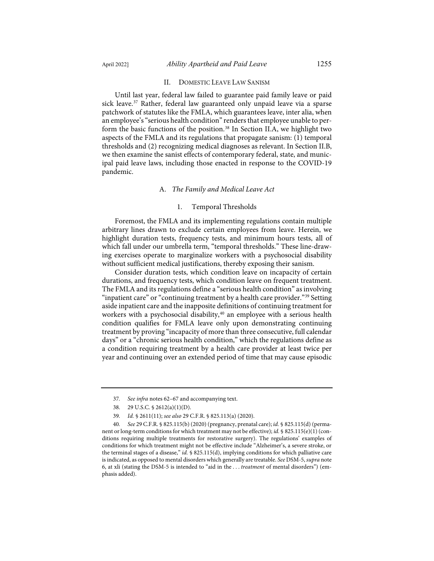#### II. DOMESTIC LEAVE LAW SANISM

Until last year, federal law failed to guarantee paid family leave or paid sick leave.<sup>[37](#page-9-0)</sup> Rather, federal law guaranteed only unpaid leave via a sparse patchwork of statutes like the FMLA, which guarantees leave, inter alia, when an employee's "serious health condition" renders that employee unable to per-form the basic functions of the position.<sup>[38](#page-9-1)</sup> In Section II.A, we highlight two aspects of the FMLA and its regulations that propagate sanism: (1) temporal thresholds and (2) recognizing medical diagnoses as relevant. In Section II.B, we then examine the sanist effects of contemporary federal, state, and municipal paid leave laws, including those enacted in response to the COVID-19 pandemic.

#### A. *The Family and Medical Leave Act*

#### 1. Temporal Thresholds

Foremost, the FMLA and its implementing regulations contain multiple arbitrary lines drawn to exclude certain employees from leave. Herein, we highlight duration tests, frequency tests, and minimum hours tests, all of which fall under our umbrella term, "temporal thresholds." These line-drawing exercises operate to marginalize workers with a psychosocial disability without sufficient medical justifications, thereby exposing their sanism.

Consider duration tests, which condition leave on incapacity of certain durations, and frequency tests, which condition leave on frequent treatment. The FMLA and its regulations define a "serious health condition" as involving "inpatient care" or "continuing treatment by a health care provider.["39](#page-9-2) Setting aside inpatient care and the inapposite definitions of continuing treatment for workers with a psychosocial disability,<sup>[40](#page-9-3)</sup> an employee with a serious health condition qualifies for FMLA leave only upon demonstrating continuing treatment by proving "incapacity of more than three consecutive, full calendar days" or a "chronic serious health condition," which the regulations define as a condition requiring treatment by a health care provider at least twice per year and continuing over an extended period of time that may cause episodic

<sup>37</sup>*. See infra* note[s 62–](#page-13-0)[67](#page-14-0) and accompanying text.

<sup>38. 29</sup> U.S.C. § 2612(a)(1)(D).

<sup>39</sup>*. Id.* § 2611(11); *see also* 29 C.F.R. § 825.113(a) (2020).

<span id="page-9-3"></span><span id="page-9-2"></span><span id="page-9-1"></span><span id="page-9-0"></span><sup>40</sup>*. See* 29 C.F.R. § 825.115(b) (2020) (pregnancy, prenatal care); *id.* § 825.115(d) (permanent or long-term conditions for which treatment may not be effective); *id.* § 825.115(e)(1) (conditions requiring multiple treatments for restorative surgery). The regulations' examples of conditions for which treatment might not be effective include "Alzheimer's, a severe stroke, or the terminal stages of a disease," *id.* § 825.115(d), implying conditions for which palliative care is indicated, as opposed to mental disorders which generally are treatable. *See* DSM-5, *supra* note [6,](#page-2-5) at xli (stating the DSM-5 is intended to "aid in the . . . *treatment* of mental disorders") (emphasis added).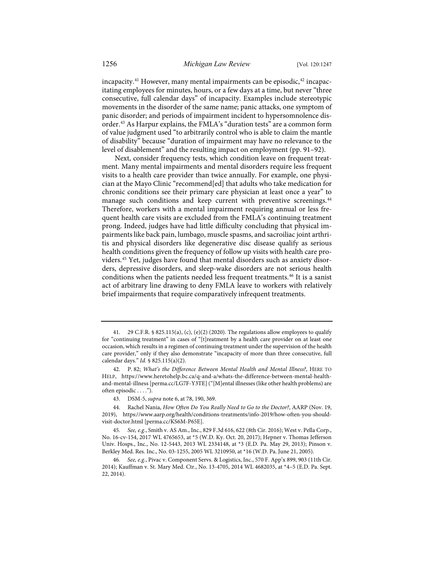incapacity.<sup>[41](#page-10-0)</sup> However, many mental impairments can be episodic,<sup>42</sup> incapacitating employees for minutes, hours, or a few days at a time, but never "three consecutive, full calendar days" of incapacity. Examples include stereotypic movements in the disorder of the same name; panic attacks, one symptom of panic disorder; and periods of impairment incident to hypersomnolence dis-order.<sup>[43](#page-10-2)</sup> As Harpur explains, the FMLA's "duration tests" are a common form of value judgment used "to arbitrarily control who is able to claim the mantle of disability" because "duration of impairment may have no relevance to the level of disablement" and the resulting impact on employment (pp. 91–92).

Next, consider frequency tests, which condition leave on frequent treatment. Many mental impairments and mental disorders require less frequent visits to a health care provider than twice annually. For example, one physician at the Mayo Clinic "recommend[ed] that adults who take medication for chronic conditions see their primary care physician at least once a year" to manage such conditions and keep current with preventive screenings.<sup>[44](#page-10-3)</sup> Therefore, workers with a mental impairment requiring annual or less frequent health care visits are excluded from the FMLA's continuing treatment prong. Indeed, judges have had little difficulty concluding that physical impairments like back pain, lumbago, muscle spasms, and sacroiliac joint arthritis and physical disorders like degenerative disc disease qualify as serious health conditions given the frequency of follow up visits with health care providers.[45](#page-10-4) Yet, judges have found that mental disorders such as anxiety disorders, depressive disorders, and sleep-wake disorders are not serious health conditions when the patients needed less frequent treatments.[46](#page-10-5) It is a sanist act of arbitrary line drawing to deny FMLA leave to workers with relatively brief impairments that require comparatively infrequent treatments.

<span id="page-10-0"></span><sup>41. 29</sup> C.F.R. § 825.115(a), (c), (e)(2) (2020). The regulations allow employees to qualify for "continuing treatment" in cases of "[t]reatment by a health care provider on at least one occasion, which results in a regimen of continuing treatment under the supervision of the health care provider," only if they also demonstrate "incapacity of more than three consecutive, full calendar days." *Id.* § 825.115(a)(2).

<span id="page-10-1"></span><sup>42.</sup> P. 82; *What's the Difference Between Mental Health and Mental Illness?*, HERE TO HELP, [https://www.heretohelp.bc.ca/q-and-a/whats-the-difference-between-mental-health](https://www.heretohelp.bc.ca/q-and-a/whats-the-difference-between-mental-health-and-mental-illness)[and-mental-illness](https://www.heretohelp.bc.ca/q-and-a/whats-the-difference-between-mental-health-and-mental-illness) [\[perma.cc/LG7F-Y3TE\]](https://perma.cc/LG7F-Y3TE) ("[M]ental illnesses (like other health problems) are often episodic . . . .").

<sup>43.</sup> DSM-5, *supra* not[e 6,](#page-2-5) at 78, 190, 369.

<span id="page-10-3"></span><span id="page-10-2"></span><sup>44.</sup> Rachel Nania, *How Often Do You Really Need to Go to the Doctor?*, AARP (Nov. 19, 2019), [https://www.aarp.org/health/conditions-treatments/info-2019/how-often-you-should](https://www.aarp.org/health/conditions-treatments/info-2019/how-often-you-should-visit-doctor.html)[visit-doctor.html](https://www.aarp.org/health/conditions-treatments/info-2019/how-often-you-should-visit-doctor.html) [\[perma.cc/KS6M-P65E\]](https://perma.cc/KS6M-P65E).

<span id="page-10-4"></span><sup>45</sup>*. See, e.g.*, Smith v. AS Am., Inc., 829 F.3d 616, 622 (8th Cir. 2016); West v. Pella Corp., No. 16-cv-154, 2017 WL 4765653, at \*5 (W.D. Ky. Oct. 20, 2017); Hepner v. Thomas Jefferson Univ. Hosps., Inc., No. 12-5443, 2013 WL 2334148, at \*3 (E.D. Pa. May 29, 2013); Pinson v. Berkley Med. Res. Inc., No. 03-1255, 2005 WL 3210950, at \*16 (W.D. Pa. June 21, 2005).

<span id="page-10-5"></span><sup>46</sup>*. See, e.g.*, Pivac v. Component Servs. & Logistics, Inc., 570 F. App'x 899, 903 (11th Cir. 2014); Kauffman v. St. Mary Med. Ctr., No. 13-4705, 2014 WL 4682035, at \*4–5 (E.D. Pa. Sept. 22, 2014).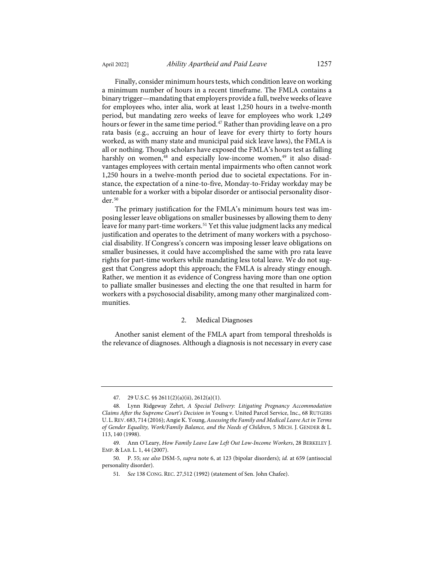Finally, consider minimum hours tests, which condition leave on working a minimum number of hours in a recent timeframe. The FMLA contains a binary trigger—mandating that employers provide a full, twelve weeks of leave for employees who, inter alia, work at least 1,250 hours in a twelve-month period, but mandating zero weeks of leave for employees who work 1,249 hours or fewer in the same time period.<sup>47</sup> Rather than providing leave on a pro rata basis (e.g., accruing an hour of leave for every thirty to forty hours worked, as with many state and municipal paid sick leave laws), the FMLA is all or nothing. Though scholars have exposed the FMLA's hours test as falling harshly on women,<sup>[48](#page-11-1)</sup> and especially low-income women,<sup>[49](#page-11-2)</sup> it also disadvantages employees with certain mental impairments who often cannot work 1,250 hours in a twelve-month period due to societal expectations. For instance, the expectation of a nine-to-five, Monday-to-Friday workday may be untenable for a worker with a bipolar disorder or antisocial personality disorder.[50](#page-11-3)

The primary justification for the FMLA's minimum hours test was imposing lesser leave obligations on smaller businesses by allowing them to deny leave for many part-time workers.<sup>[51](#page-11-4)</sup> Yet this value judgment lacks any medical justification and operates to the detriment of many workers with a psychosocial disability. If Congress's concern was imposing lesser leave obligations on smaller businesses, it could have accomplished the same with pro rata leave rights for part-time workers while mandating less total leave. We do not suggest that Congress adopt this approach; the FMLA is already stingy enough. Rather, we mention it as evidence of Congress having more than one option to palliate smaller businesses and electing the one that resulted in harm for workers with a psychosocial disability, among many other marginalized communities.

#### 2. Medical Diagnoses

Another sanist element of the FMLA apart from temporal thresholds is the relevance of diagnoses. Although a diagnosis is not necessary in every case

<sup>47. 29</sup> U.S.C. §§ 2611(2)(a)(ii), 2612(a)(1).

<span id="page-11-1"></span><span id="page-11-0"></span><sup>48.</sup> Lynn Ridgeway Zehrt, *A Special Delivery: Litigating Pregnancy Accommodation Claims After the Supreme Court's Decision in* Young v. United Parcel Service, Inc., 68 RUTGERS U. L.REV. 683, 714 (2016); Angie K. Young, *Assessing the Family and Medical Leave Act in Terms of Gender Equality, Work/Family Balance, and the Needs of Children*, 5 MICH. J. GENDER & L. 113, 140 (1998).

<span id="page-11-2"></span><sup>49.</sup> Ann O'Leary, *How Family Leave Law Left Out Low-Income Workers*, 28 BERKELEY J. EMP. & LAB. L. 1, 44 (2007).

<span id="page-11-4"></span><span id="page-11-3"></span><sup>50.</sup> P. 55; *see also* DSM-5, *supra* note [6,](#page-2-5) at 123 (bipolar disorders); *id.* at 659 (antisocial personality disorder).

<sup>51</sup>*. See* 138 CONG. REC. 27,512 (1992) (statement of Sen. John Chafee).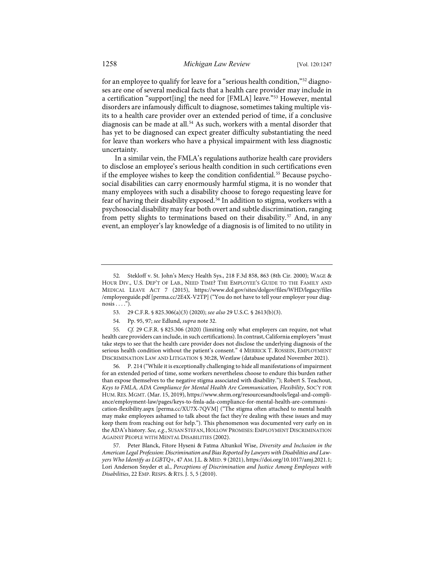for an employee to qualify for leave for a "serious health condition,"[52](#page-12-0) diagnoses are one of several medical facts that a health care provider may include in a certification "support[ing] the need for [FMLA] leave."[53](#page-12-1) However, mental disorders are infamously difficult to diagnose, sometimes taking multiple visits to a health care provider over an extended period of time, if a conclusive diagnosis can be made at all.<sup>[54](#page-12-2)</sup> As such, workers with a mental disorder that has yet to be diagnosed can expect greater difficulty substantiating the need for leave than workers who have a physical impairment with less diagnostic uncertainty.

In a similar vein, the FMLA's regulations authorize health care providers to disclose an employee's serious health condition in such certifications even if the employee wishes to keep the condition confidential.<sup>[55](#page-12-3)</sup> Because psychosocial disabilities can carry enormously harmful stigma, it is no wonder that many employees with such a disability choose to forego requesting leave for fear of having their disability exposed.<sup>[56](#page-12-4)</sup> In addition to stigma, workers with a psychosocial disability may fear both overt and subtle discrimination, ranging from petty slights to terminations based on their disability.<sup>[57](#page-12-5)</sup> And, in any event, an employer's lay knowledge of a diagnosis is of limited to no utility in

<span id="page-12-4"></span>56. P. 214 ("While it is exceptionally challenging to hide all manifestations of impairment for an extended period of time, some workers nevertheless choose to endure this burden rather than expose themselves to the negative stigma associated with disability."); Robert S. Teachout, *Keys to FMLA, ADA Compliance for Mental Health Are Communication, Flexibility*, SOC'Y FOR HUM. RES. MGMT. (Mar. 15, 2019)[, https://www.shrm.org/resourcesandtools/legal-and-compli](https://www.shrm.org/resourcesandtools/legal-and-compliance/employment-law/pages/keys-to-fmla-ada-compliance-for-mental-health-are-communication-flexibility.aspx)[ance/employment-law/pages/keys-to-fmla-ada-compliance-for-mental-health-are-communi](https://www.shrm.org/resourcesandtools/legal-and-compliance/employment-law/pages/keys-to-fmla-ada-compliance-for-mental-health-are-communication-flexibility.aspx)[cation-flexibility.aspx](https://www.shrm.org/resourcesandtools/legal-and-compliance/employment-law/pages/keys-to-fmla-ada-compliance-for-mental-health-are-communication-flexibility.aspx) [\[perma.cc/XU7X-7QVM\]](https://perma.cc/XU7X-7QVM) ("The stigma often attached to mental health may make employees ashamed to talk about the fact they're dealing with these issues and may keep them from reaching out for help."). This phenomenon was documented very early on in the ADA's history. *See, e.g.*, SUSAN STEFAN,HOLLOW PROMISES: EMPLOYMENT DISCRIMINATION AGAINST PEOPLE WITH MENTAL DISABILITIES (2002).

<span id="page-12-5"></span>57. Peter Blanck, Fitore Hyseni & Fatma Altunkol Wise, *Diversity and Inclusion in the American Legal Profession: Discrimination and Bias Reported by Lawyers with Disabilities and Lawyers Who Identify as LGBTQ+*, 47 AM. J.L. & MED. 9 (2021)[, https://doi.org/10.1017/amj.2021.1;](https://doi.org/10.1017/amj.2021.1) Lori Anderson Snyder et al., *Perceptions of Discrimination and Justice Among Employees with Disabilities*, 22 EMP. RESPS. & RTS. J. 5, 5 (2010).

<span id="page-12-0"></span><sup>52.</sup> Stekloff v. St. John's Mercy Health Sys., 218 F.3d 858, 863 (8th Cir. 2000); WAGE & HOUR DIV., U.S. DEP'T OF LAB., NEED TIME? THE EMPLOYEE'S GUIDE TO THE FAMILY AND MEDICAL LEAVE ACT 7 (2015), [https://www.dol.gov/sites/dolgov/files/WHD/legacy/files](https://www.dol.gov/sites/dolgov/files/WHD/legacy/files%E2%80%8C/employeeguide.pdf) [/employeeguide.pdf](https://www.dol.gov/sites/dolgov/files/WHD/legacy/files%E2%80%8C/employeeguide.pdf) [\[perma.cc/2E4X-V2TP\]](https://perma.cc/2E4X-V2TP) ("You do not have to tell your employer your diag $nosis \ldots$ ").

<sup>53. 29</sup> C.F.R. § 825.306(a)(3) (2020); *see also* 29 U.S.C. § 2613(b)(3).

<sup>54.</sup> Pp. 95, 97; *see* Edlund, *supra* not[e 32.](#page-7-4) 

<span id="page-12-3"></span><span id="page-12-2"></span><span id="page-12-1"></span><sup>55</sup>*. Cf.* 29 C.F.R. § 825.306 (2020) (limiting only what employers can require, not what health care providers can include, in such certifications). In contrast, California employers "must take steps to see that the health care provider does not disclose the underlying diagnosis of the serious health condition without the patient's consent." 4 MERRICK T. ROSSEIN, EMPLOYMENT DISCRIMINATION LAW AND LITIGATION § 30:28, Westlaw (database updated November 2021).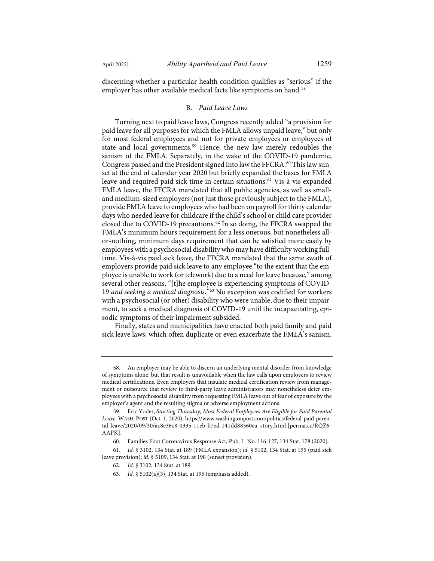discerning whether a particular health condition qualifies as "serious" if the employer has other available medical facts like symptoms on hand.<sup>[58](#page-13-1)</sup>

### <span id="page-13-0"></span>B. *Paid Leave Laws*

Turning next to paid leave laws, Congress recently added "a provision for paid leave for all purposes for which the FMLA allows unpaid leave," but only for most federal employees and not for private employees or employees of state and local governments.<sup>[59](#page-13-2)</sup> Hence, the new law merely redoubles the sanism of the FMLA. Separately, in the wake of the COVID-19 pandemic, Congress passed and the President signed into law the FFCRA.<sup>[60](#page-13-3)</sup> This law sunset at the end of calendar year 2020 but briefly expanded the bases for FMLA leave and required paid sick time in certain situations.[61](#page-13-4) Vis-à-vis expanded FMLA leave, the FFCRA mandated that all public agencies, as well as smalland medium-sized employers (not just those previously subject to the FMLA), provide FMLA leave to employees who had been on payroll for thirty calendar days who needed leave for childcare if the child's school or child care provider closed due to COVID-19 precautions.<sup>[62](#page-13-5)</sup> In so doing, the FFCRA swapped the FMLA's minimum hours requirement for a less onerous, but nonetheless allor-nothing, minimum days requirement that can be satisfied more easily by employees with a psychosocial disability who may have difficulty working fulltime. Vis-à-vis paid sick leave, the FFCRA mandated that the same swath of employers provide paid sick leave to any employee "to the extent that the employee is unable to work (or telework) due to a need for leave because," among several other reasons, "[t]he employee is experiencing symptoms of COVID-19 *and seeking a medical diagnosis*."[63](#page-13-6) No exception was codified for workers with a psychosocial (or other) disability who were unable, due to their impairment, to seek a medical diagnosis of COVID-19 until the incapacitating, episodic symptoms of their impairment subsided.

Finally, states and municipalities have enacted both paid family and paid sick leave laws, which often duplicate or even exacerbate the FMLA's sanism.

<span id="page-13-1"></span><sup>58.</sup> An employer may be able to discern an underlying mental disorder from knowledge of symptoms alone, but that result is unavoidable when the law calls upon employers to review medical certifications. Even employers that insulate medical certification review from management or outsource that review to third-party leave administrators may nonetheless deter employees with a psychosocial disability from requesting FMLA leave out of fear of exposure by the employer's agent and the resulting stigma or adverse employment actions.

<span id="page-13-2"></span><sup>59.</sup> Eric Yoder, *Starting Thursday, Most Federal Employees Are Eligible for Paid Parental Leave*, WASH. POST (Oct. 1, 2020)[, https://www.washingtonpost.com/politics/federal-paid-paren](https://www.washingtonpost.com/politics/federal-paid-parental-leave/2020/09/30/ac8e36c8-0335-11eb-b7ed-141dd88560ea_story.html)[tal-leave/2020/09/30/ac8e36c8-0335-11eb-b7ed-141dd88560ea\\_story.html](https://www.washingtonpost.com/politics/federal-paid-parental-leave/2020/09/30/ac8e36c8-0335-11eb-b7ed-141dd88560ea_story.html) [\[perma.cc/RQZ6-](https://perma.cc/RQZ6-AAPK) [AAPK\]](https://perma.cc/RQZ6-AAPK).

<sup>60.</sup> Families First Coronavirus Response Act, Pub. L. No. 116-127, 134 Stat. 178 (2020).

<span id="page-13-6"></span><span id="page-13-5"></span><span id="page-13-4"></span><span id="page-13-3"></span><sup>61</sup>*. Id.* § 3102, 134 Stat. at 189 (FMLA expansion); *id.* § 5102, 134 Stat. at 195 (paid sick leave provision); *id.* § 5109, 134 Stat. at 198 (sunset provision).

<sup>62</sup>*. Id.* § 3102, 134 Stat. at 189.

<sup>63</sup>*. Id.* § 5102(a)(3), 134 Stat. at 195 (emphasis added).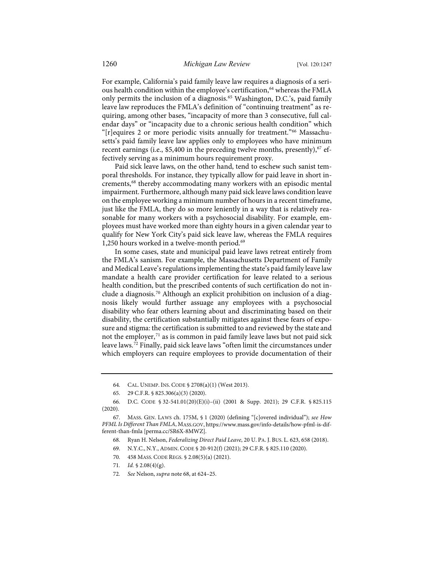For example, California's paid family leave law requires a diagnosis of a seri-ous health condition within the employee's certification,<sup>[64](#page-14-2)</sup> whereas the FMLA only permits the inclusion of a diagnosis.<sup>[65](#page-14-3)</sup> Washington, D.C.'s, paid family leave law reproduces the FMLA's definition of "continuing treatment" as requiring, among other bases, "incapacity of more than 3 consecutive, full calendar days" or "incapacity due to a chronic serious health condition" which "[r]equires 2 or more periodic visits annually for treatment."[66](#page-14-4) Massachusetts's paid family leave law applies only to employees who have minimum recent earnings (i.e., \$5,400 in the preceding twelve months, presently), $67$  effectively serving as a minimum hours requirement proxy.

<span id="page-14-1"></span><span id="page-14-0"></span>Paid sick leave laws, on the other hand, tend to eschew such sanist temporal thresholds. For instance, they typically allow for paid leave in short in-crements,<sup>[68](#page-14-6)</sup> thereby accommodating many workers with an episodic mental impairment. Furthermore, although many paid sick leave laws condition leave on the employee working a minimum number of hours in a recent timeframe, just like the FMLA, they do so more leniently in a way that is relatively reasonable for many workers with a psychosocial disability. For example, employees must have worked more than eighty hours in a given calendar year to qualify for New York City's paid sick leave law, whereas the FMLA requires 1,250 hours worked in a twelve-month period.<sup>69</sup>

In some cases, state and municipal paid leave laws retreat entirely from the FMLA's sanism. For example, the Massachusetts Department of Family and Medical Leave's regulations implementing the state's paid family leave law mandate a health care provider certification for leave related to a serious health condition, but the prescribed contents of such certification do not include a diagnosis.[70](#page-14-8) Although an explicit prohibition on inclusion of a diagnosis likely would further assuage any employees with a psychosocial disability who fear others learning about and discriminating based on their disability, the certification substantially mitigates against these fears of exposure and stigma: the certification is submitted to and reviewed by the state and not the employer,<sup>[71](#page-14-9)</sup> as is common in paid family leave laws but not paid sick leave laws.[72](#page-14-10) Finally, paid sick leave laws "often limit the circumstances under which employers can require employees to provide documentation of their

<sup>64.</sup> CAL. UNEMP. INS. CODE § 2708(a)(1) (West 2013).

<sup>65. 29</sup> C.F.R. § 825.306(a)(3) (2020).

<span id="page-14-4"></span><span id="page-14-3"></span><span id="page-14-2"></span><sup>66.</sup> D.C. CODE § 32-541.01(20)(E)(i)–(ii) (2001 & Supp. 2021); 29 C.F.R. § 825.115 (2020).

<span id="page-14-8"></span><span id="page-14-7"></span><span id="page-14-6"></span><span id="page-14-5"></span><sup>67.</sup> MASS. GEN. LAWS ch. 175M, § 1 (2020) (defining "[c]overed individual"); *see How PFML Is Different Than FMLA*, MASS.GOV[, https://www.mass.gov/info-details/how-pfml-is-dif](https://www.mass.gov/info-details/how-pfml-is-different-than-fmla)[ferent-than-fmla](https://www.mass.gov/info-details/how-pfml-is-different-than-fmla) [\[perma.cc/SR6X-8MWZ\]](https://perma.cc/SR6X-8MWZ).

<sup>68.</sup> Ryan H. Nelson, *Federalizing Direct Paid Leave*, 20 U. PA. J. BUS. L. 623, 658 (2018).

<sup>69.</sup> N.Y.C., N.Y., ADMIN. CODE § 20-912(f) (2021); 29 C.F.R. § 825.110 (2020).

<sup>70. 458</sup> MASS. CODE REGS. § 2.08(5)(a) (2021).

<sup>71</sup>*. Id.* § 2.08(4)(g).

<span id="page-14-10"></span><span id="page-14-9"></span><sup>72</sup>*. See* Nelson, *supra* not[e 68,](#page-14-1) at 624–25.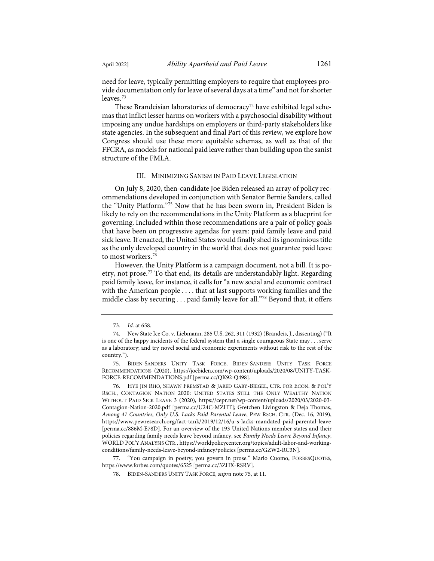need for leave, typically permitting employers to require that employees provide documentation only for leave of several days at a time" and not for shorter leaves.<sup>[73](#page-15-1)</sup>

These Brandeisian laboratories of democracy<sup>[74](#page-15-2)</sup> have exhibited legal schemas that inflict lesser harms on workers with a psychosocial disability without imposing any undue hardships on employers or third-party stakeholders like state agencies. In the subsequent and final Part of this review, we explore how Congress should use these more equitable schemas, as well as that of the FFCRA, as models for national paid leave rather than building upon the sanist structure of the FMLA.

#### <span id="page-15-0"></span>III. MINIMIZING SANISM IN PAID LEAVE LEGISLATION

On July 8, 2020, then-candidate Joe Biden released an array of policy recommendations developed in conjunction with Senator Bernie Sanders, called the "Unity Platform."[75](#page-15-3) Now that he has been sworn in, President Biden is likely to rely on the recommendations in the Unity Platform as a blueprint for governing. Included within those recommendations are a pair of policy goals that have been on progressive agendas for years: paid family leave and paid sick leave. If enacted, the United States would finally shed its ignominious title as the only developed country in the world that does not guarantee paid leave to most workers.<sup>[76](#page-15-4)</sup>

However, the Unity Platform is a campaign document, not a bill. It is po-etry, not prose.<sup>[77](#page-15-5)</sup> To that end, its details are understandably light. Regarding paid family leave, for instance, it calls for "a new social and economic contract with the American people . . . . that at last supports working families and the middle class by securing . . . paid family leave for all."[78](#page-15-6) Beyond that, it offers

<span id="page-15-6"></span><span id="page-15-5"></span>77. "You campaign in poetry; you govern in prose." Mario Cuomo, FORBESQUOTES, [https://www.forbes.com/quotes/6525](https://www.forbes.com/quotes/6525/) [\[perma.cc/3ZHX-RSRV\]](https://perma.cc/3ZHX-RSRV).

<sup>73</sup>*. Id.* at 658.

<span id="page-15-2"></span><span id="page-15-1"></span><sup>74.</sup> New State Ice Co. v. Liebmann, 285 U.S. 262, 311 (1932) (Brandeis, J., dissenting) ("It is one of the happy incidents of the federal system that a single courageous State may . . . serve as a laboratory; and try novel social and economic experiments without risk to the rest of the country.").

<span id="page-15-3"></span><sup>75.</sup> BIDEN-SANDERS UNITY TASK FORCE, BIDEN-SANDERS UNITY TASK FORCE RECOMMENDATIONS (2020), [https://joebiden.com/wp-content/uploads/2020/08/UNITY-TASK-](https://joebiden.com/wp-content/uploads/2020/08/UNITY-TASK-FORCE-RECOMMENDATIONS.pdf)[FORCE-RECOMMENDATIONS.pdf](https://joebiden.com/wp-content/uploads/2020/08/UNITY-TASK-FORCE-RECOMMENDATIONS.pdf) [\[perma.cc/QK92-Q498\]](https://perma.cc/QK92-Q498).

<span id="page-15-4"></span><sup>76.</sup> HYE JIN RHO, SHAWN FREMSTAD & JARED GABY-BIEGEL, CTR. FOR ECON. & POL'Y RSCH., CONTAGION NATION 2020: UNITED STATES STILL THE ONLY WEALTHY NATION WITHOUT PAID SICK LEAVE 3 (2020), [https://cepr.net/wp-content/uploads/2020/03/2020-03-](https://cepr.net/wp-content/uploads/2020/03/2020-03-Contagion-Nation-2020.pdf) [Contagion-Nation-2020.pdf](https://cepr.net/wp-content/uploads/2020/03/2020-03-Contagion-Nation-2020.pdf) [\[perma.cc/U24C-MZHT\]](https://perma.cc/U24C-MZHT); Gretchen Livingston & Deja Thomas, *Among 41 Countries, Only U.S. Lacks Paid Parental Leave*, PEW RSCH. CTR. (Dec. 16, 2019), [https://www.pewresearch.org/fact-tank/2019/12/16/u-s-lacks-mandated-paid-parental-leave](https://www.pewresearch.org/fact-tank/2019/12/16/u-s-lacks-mandated-paid-parental-leave/) [\[perma.cc/886M-E78D\]](https://perma.cc/886M-E78D). For an overview of the 193 United Nations member states and their policies regarding family needs leave beyond infancy, see *Family Needs Leave Beyond Infancy*, WORLD POL'Y ANALYSIS CTR.[, https://worldpolicycenter.org/topics/adult-labor-and-working](https://worldpolicycenter.org/topics/adult-labor-and-working-conditions/family-needs-leave-beyond-infancy/policies)[conditions/family-needs-leave-beyond-infancy/policies](https://worldpolicycenter.org/topics/adult-labor-and-working-conditions/family-needs-leave-beyond-infancy/policies) [\[perma.cc/GZW2-RC3N\]](https://perma.cc/GZW2-RC3N).

<sup>78.</sup> BIDEN-SANDERS UNITY TASK FORCE, *supra* not[e 75,](#page-15-0) at 11.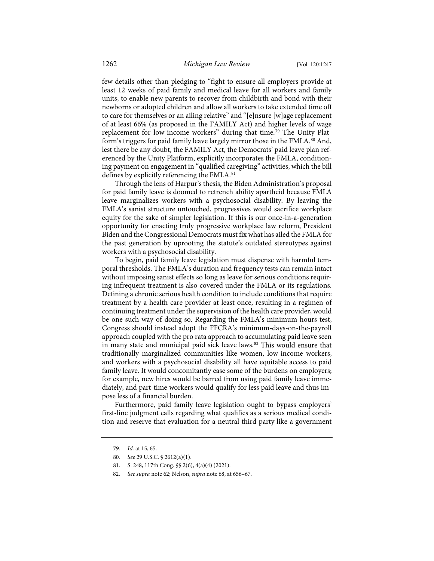few details other than pledging to "fight to ensure all employers provide at least 12 weeks of paid family and medical leave for all workers and family units, to enable new parents to recover from childbirth and bond with their newborns or adopted children and allow all workers to take extended time off to care for themselves or an ailing relative" and "[e]nsure [w]age replacement of at least 66% (as proposed in the FAMILY Act) and higher levels of wage replacement for low-income workers" during that time.<sup>[79](#page-16-0)</sup> The Unity Platform's triggers for paid family leave largely mirror those in the FMLA.<sup>80</sup> And, lest there be any doubt, the FAMILY Act, the Democrats' paid leave plan referenced by the Unity Platform, explicitly incorporates the FMLA, conditioning payment on engagement in "qualified caregiving" activities, which the bill defines by explicitly referencing the FMLA.<sup>[81](#page-16-2)</sup>

Through the lens of Harpur's thesis, the Biden Administration's proposal for paid family leave is doomed to retrench ability apartheid because FMLA leave marginalizes workers with a psychosocial disability. By leaving the FMLA's sanist structure untouched, progressives would sacrifice workplace equity for the sake of simpler legislation. If this is our once-in-a-generation opportunity for enacting truly progressive workplace law reform, President Biden and the Congressional Democrats must fix what has ailed the FMLA for the past generation by uprooting the statute's outdated stereotypes against workers with a psychosocial disability.

To begin, paid family leave legislation must dispense with harmful temporal thresholds. The FMLA's duration and frequency tests can remain intact without imposing sanist effects so long as leave for serious conditions requiring infrequent treatment is also covered under the FMLA or its regulations. Defining a chronic serious health condition to include conditions that require treatment by a health care provider at least once, resulting in a regimen of continuing treatment under the supervision of the health care provider, would be one such way of doing so. Regarding the FMLA's minimum hours test, Congress should instead adopt the FFCRA's minimum-days-on-the-payroll approach coupled with the pro rata approach to accumulating paid leave seen in many state and municipal paid sick leave laws[.82](#page-16-3) This would ensure that traditionally marginalized communities like women, low-income workers, and workers with a psychosocial disability all have equitable access to paid family leave. It would concomitantly ease some of the burdens on employers; for example, new hires would be barred from using paid family leave immediately, and part-time workers would qualify for less paid leave and thus impose less of a financial burden.

<span id="page-16-0"></span>Furthermore, paid family leave legislation ought to bypass employers' first-line judgment calls regarding what qualifies as a serious medical condition and reserve that evaluation for a neutral third party like a government

<sup>79</sup>*. Id.* at 15, 65.

<span id="page-16-1"></span><sup>80</sup>*. See* 29 U.S.C. § 2612(a)(1).

<span id="page-16-2"></span><sup>81.</sup> S. 248, 117th Cong. §§ 2(6), 4(a)(4) (2021).

<span id="page-16-3"></span><sup>82</sup>*. See supra* not[e 62;](#page-13-0) Nelson, *supra* not[e 68,](#page-14-1) at 656–67.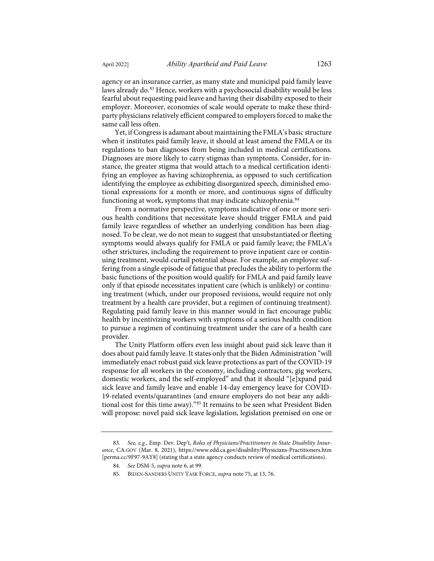agency or an insurance carrier, as many state and municipal paid family leave laws already do.<sup>[83](#page-17-0)</sup> Hence, workers with a psychosocial disability would be less fearful about requesting paid leave and having their disability exposed to their employer. Moreover, economies of scale would operate to make these thirdparty physicians relatively efficient compared to employers forced to make the same call less often.

Yet, if Congress is adamant about maintaining the FMLA's basic structure when it institutes paid family leave, it should at least amend the FMLA or its regulations to ban diagnoses from being included in medical certifications. Diagnoses are more likely to carry stigmas than symptoms. Consider, for instance, the greater stigma that would attach to a medical certification identifying an employee as having schizophrenia, as opposed to such certification identifying the employee as exhibiting disorganized speech, diminished emotional expressions for a month or more, and continuous signs of difficulty functioning at work, symptoms that may indicate schizophrenia.<sup>[84](#page-17-1)</sup>

From a normative perspective, symptoms indicative of one or more serious health conditions that necessitate leave should trigger FMLA and paid family leave regardless of whether an underlying condition has been diagnosed. To be clear, we do not mean to suggest that unsubstantiated or fleeting symptoms would always qualify for FMLA or paid family leave; the FMLA's other strictures, including the requirement to prove inpatient care or continuing treatment, would curtail potential abuse. For example, an employee suffering from a single episode of fatigue that precludes the ability to perform the basic functions of the position would qualify for FMLA and paid family leave only if that episode necessitates inpatient care (which is unlikely) or continuing treatment (which, under our proposed revisions, would require not only treatment by a health care provider, but a regimen of continuing treatment). Regulating paid family leave in this manner would in fact encourage public health by incentivizing workers with symptoms of a serious health condition to pursue a regimen of continuing treatment under the care of a health care provider.

The Unity Platform offers even less insight about paid sick leave than it does about paid family leave. It states only that the Biden Administration "will immediately enact robust paid sick leave protections as part of the COVID-19 response for all workers in the economy, including contractors, gig workers, domestic workers, and the self-employed" and that it should "[e]xpand paid sick leave and family leave and enable 14-day emergency leave for COVID-19-related events/quarantines (and ensure employers do not bear any additional cost for this time away)."[85](#page-17-2) It remains to be seen what President Biden will propose: novel paid sick leave legislation, legislation premised on one or

<span id="page-17-2"></span><span id="page-17-1"></span><span id="page-17-0"></span><sup>83</sup>*. See, e.g.*, Emp. Dev. Dep't, *Roles of Physicians/Practitioners in State Disability Insurance*, CA.GOV (Mar. 8, 2021),<https://www.edd.ca.gov/disability/Physicians-Practitioners.htm> [\[perma.cc/9F97-9AY8\]](https://perma.cc/9F97-9AY8) (stating that a state agency conducts review of medical certifications).

<sup>84</sup>*. See* DSM-5, *supra* not[e 6,](#page-2-5) at 99.

<sup>85.</sup> BIDEN-SANDERS UNITY TASK FORCE, *supra* not[e 75,](#page-15-0) at 13, 76.